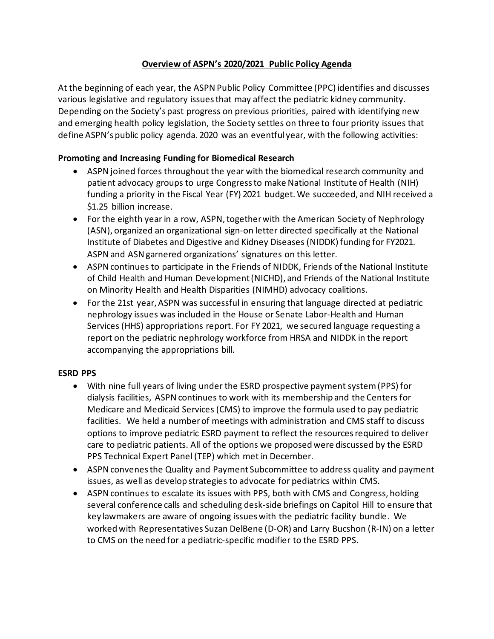## **Overview of ASPN's 2020/2021 Public Policy Agenda**

At the beginning of each year, the ASPN Public Policy Committee (PPC) identifies and discusses various legislative and regulatory issues that may affect the pediatric kidney community. Depending on the Society's past progress on previous priorities, paired with identifying new and emerging health policy legislation, the Society settles on three to four priority issues that define ASPN's public policy agenda. 2020 was an eventful year, with the following activities:

# **Promoting and Increasing Funding for Biomedical Research**

- ASPN joined forces throughout the year with the biomedical research community and patient advocacy groups to urge Congress to make National Institute of Health (NIH) funding a priority in the Fiscal Year (FY) 2021 budget. We succeeded, and NIH received a \$1.25 billion increase.
- For the eighth year in a row, ASPN, together with the American Society of Nephrology (ASN), organized an organizational sign-on letter directed specifically at the National Institute of Diabetes and Digestive and Kidney Diseases (NIDDK) funding for FY2021. ASPNand ASN garnered organizations' signatures on this letter.
- ASPN continues to participate in the Friends of NIDDK, Friends of the National Institute of Child Health and Human Development (NICHD), and Friends of the National Institute on Minority Health and Health Disparities (NIMHD) advocacy coalitions.
- For the 21st year, ASPN was successful in ensuring that language directed at pediatric nephrology issues was included in the House or Senate Labor-Health and Human Services (HHS) appropriations report. For FY 2021, we secured language requesting a report on the pediatric nephrology workforce from HRSA and NIDDK in the report accompanying the appropriations bill.

### **ESRD PPS**

- With nine full years of living under the ESRD prospective payment system (PPS) for dialysis facilities, ASPN continues to work with its membership and the Centers for Medicare and Medicaid Services (CMS) to improve the formula used to pay pediatric facilities. We held a number of meetings with administration and CMS staff to discuss options to improve pediatric ESRD payment to reflect the resources required to deliver care to pediatric patients. All of the options we proposed were discussed by the ESRD PPS Technical Expert Panel (TEP) which met in December.
- ASPN convenesthe Quality and Payment Subcommittee to address quality and payment issues, as well as develop strategies to advocate for pediatrics within CMS.
- ASPN continues to escalate its issues with PPS, both with CMS and Congress, holding several conference calls and scheduling desk-side briefings on Capitol Hill to ensure that key lawmakers are aware of ongoing issues with the pediatric facility bundle. We worked with Representatives Suzan DelBene (D-OR) and Larry Bucshon (R-IN) on a letter to CMS on the need for a pediatric-specific modifier to the ESRD PPS.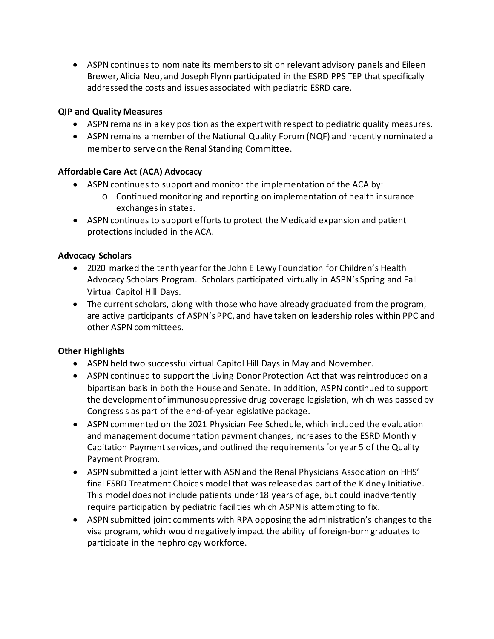• ASPN continues to nominate its members to sit on relevant advisory panels and Eileen Brewer, Alicia Neu, and Joseph Flynn participated in the ESRD PPS TEP that specifically addressed the costs and issues associated with pediatric ESRD care.

### **QIP and Quality Measures**

- ASPN remains in a key position as the expert with respect to pediatric quality measures.
- ASPN remains a member of the National Quality Forum (NQF) and recently nominated a member to serve on the Renal Standing Committee.

# **Affordable Care Act (ACA) Advocacy**

- ASPN continues to support and monitor the implementation of the ACA by:
	- o Continued monitoring and reporting on implementation of health insurance exchanges in states.
- ASPN continues to support efforts to protect the Medicaid expansion and patient protections included in the ACA.

### **Advocacy Scholars**

- 2020 marked the tenth year for the John E Lewy Foundation for Children's Health Advocacy Scholars Program. Scholars participated virtually in ASPN's Spring and Fall Virtual Capitol Hill Days.
- The current scholars, along with those who have already graduated from the program, are active participants of ASPN's PPC, and have taken on leadership roles within PPC and other ASPN committees.

# **Other Highlights**

- ASPN held two successful virtual Capitol Hill Days in May and November.
- ASPN continued to support the Living Donor Protection Act that was reintroduced on a bipartisan basis in both the House and Senate. In addition, ASPN continued to support the development of immunosuppressive drug coverage legislation, which was passed by Congress s as part of the end-of-year legislative package.
- ASPN commented on the 2021 Physician Fee Schedule, which included the evaluation and management documentation payment changes, increases to the ESRD Monthly Capitation Payment services, and outlined the requirements for year 5 of the Quality Payment Program.
- ASPN submitted a joint letter with ASN and the Renal Physicians Association on HHS' final ESRD Treatment Choices model that was released as part of the Kidney Initiative. This model does not include patients under 18 years of age, but could inadvertently require participation by pediatric facilities which ASPN is attempting to fix.
- ASPN submitted joint comments with RPA opposing the administration's changes to the visa program, which would negatively impact the ability of foreign-born graduates to participate in the nephrology workforce.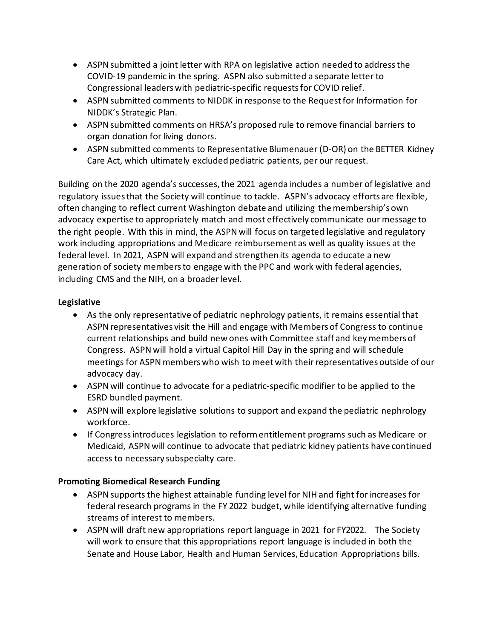- ASPN submitted a joint letter with RPA on legislative action needed to address the COVID-19 pandemic in the spring. ASPN also submitted a separate letter to Congressional leaders with pediatric-specific requests for COVID relief.
- ASPN submitted comments to NIDDK in response to the Request for Information for NIDDK's Strategic Plan.
- ASPN submitted comments on HRSA's proposed rule to remove financial barriers to organ donation for living donors.
- ASPN submitted comments to Representative Blumenauer (D-OR) on the BETTER Kidney Care Act, which ultimately excluded pediatric patients, per our request.

Building on the 2020 agenda's successes,the 2021 agenda includes a number of legislative and regulatory issues that the Society will continue to tackle. ASPN's advocacy efforts are flexible, often changing to reflect current Washington debate and utilizing the membership's own advocacy expertise to appropriately match and most effectively communicate our message to the right people. With this in mind, the ASPN will focus on targeted legislative and regulatory work including appropriations and Medicare reimbursement as well as quality issues at the federal level. In 2021, ASPN will expand and strengthen its agenda to educate a new generation of society members to engage with the PPC and work with federal agencies, including CMS and the NIH, on a broader level.

# **Legislative**

- As the only representative of pediatric nephrology patients, it remains essential that ASPN representatives visit the Hill and engage with Members of Congress to continue current relationships and build new ones with Committee staff and key members of Congress. ASPN will hold a virtual Capitol Hill Day in the spring and will schedule meetings for ASPN members who wish to meet with their representatives outside of our advocacy day.
- ASPN will continue to advocate for a pediatric-specific modifier to be applied to the ESRD bundled payment.
- ASPN will explore legislative solutions to support and expand the pediatric nephrology workforce.
- If Congress introduces legislation to reform entitlement programs such as Medicare or Medicaid, ASPN will continue to advocate that pediatric kidney patients have continued access to necessary subspecialty care.

### **Promoting Biomedical Research Funding**

- ASPN supports the highest attainable funding level for NIH and fight for increases for federal research programs in the FY 2022 budget, while identifying alternative funding streams of interest to members.
- ASPN will draft new appropriations report language in 2021 for FY2022. The Society will work to ensure that this appropriations report language is included in both the Senate and House Labor, Health and Human Services, Education Appropriations bills.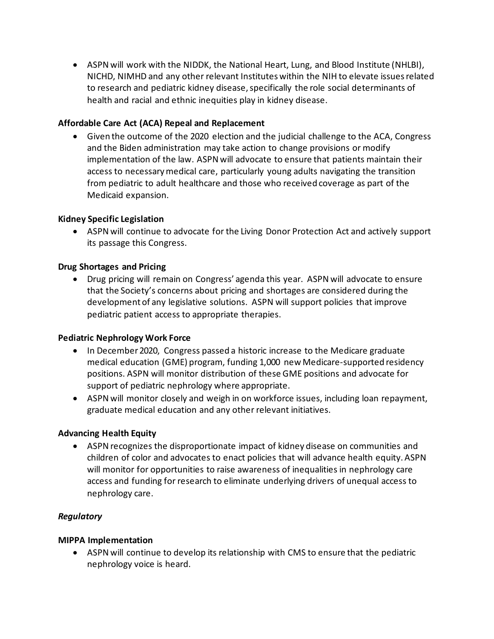• ASPN will work with the NIDDK, the National Heart, Lung, and Blood Institute (NHLBI), NICHD, NIMHD and any other relevant Institutes within the NIH to elevate issues related to research and pediatric kidney disease, specifically the role social determinants of health and racial and ethnic inequities play in kidney disease.

### **Affordable Care Act (ACA) Repeal and Replacement**

• Given the outcome of the 2020 election and the judicial challenge to the ACA, Congress and the Biden administration may take action to change provisions or modify implementation of the law. ASPN will advocate to ensure that patients maintain their access to necessary medical care, particularly young adults navigating the transition from pediatric to adult healthcare and those who received coverage as part of the Medicaid expansion.

#### **Kidney Specific Legislation**

• ASPN will continue to advocate for the Living Donor Protection Act and actively support its passage this Congress.

#### **Drug Shortages and Pricing**

• Drug pricing will remain on Congress' agenda this year. ASPN will advocate to ensure that the Society's concerns about pricing and shortages are considered during the development of any legislative solutions. ASPN will support policies that improve pediatric patient access to appropriate therapies.

#### **Pediatric Nephrology Work Force**

- In December 2020, Congress passed a historic increase to the Medicare graduate medical education (GME) program, funding 1,000 new Medicare-supported residency positions. ASPN will monitor distribution of these GME positions and advocate for support of pediatric nephrology where appropriate.
- ASPN will monitor closely and weigh in on workforce issues, including loan repayment, graduate medical education and any other relevant initiatives.

### **Advancing Health Equity**

• ASPN recognizes the disproportionate impact of kidney disease on communities and children of color and advocates to enact policies that will advance health equity. ASPN will monitor for opportunities to raise awareness of inequalities in nephrology care access and funding for research to eliminate underlying drivers of unequal access to nephrology care.

### *Regulatory*

#### **MIPPA Implementation**

• ASPN will continue to develop its relationship with CMS to ensure that the pediatric nephrology voice is heard.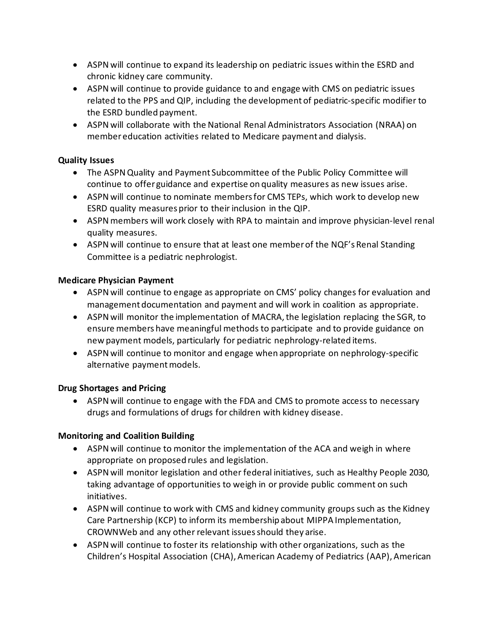- ASPN will continue to expand its leadership on pediatric issues within the ESRD and chronic kidney care community.
- ASPN will continue to provide guidance to and engage with CMS on pediatric issues related to the PPS and QIP, including the development of pediatric-specific modifier to the ESRD bundled payment.
- ASPN will collaborate with the National Renal Administrators Association (NRAA) on member education activities related to Medicare payment and dialysis.

### **Quality Issues**

- The ASPN Quality and Payment Subcommittee of the Public Policy Committee will continue to offer guidance and expertise on quality measures as new issues arise.
- ASPN will continue to nominate members for CMS TEPs, which work to develop new ESRD quality measures prior to their inclusion in the QIP.
- ASPN members will work closely with RPA to maintain and improve physician-level renal quality measures.
- ASPN will continue to ensure that at least one member of the NQF's Renal Standing Committee is a pediatric nephrologist.

#### **Medicare Physician Payment**

- ASPN will continue to engage as appropriate on CMS' policy changes for evaluation and management documentation and payment and will work in coalition as appropriate.
- ASPN will monitor the implementation of MACRA, the legislation replacing the SGR, to ensure members have meaningful methods to participate and to provide guidance on new payment models, particularly for pediatric nephrology-related items.
- ASPN will continue to monitor and engage when appropriate on nephrology-specific alternative payment models.

### **Drug Shortages and Pricing**

• ASPN will continue to engage with the FDA and CMS to promote access to necessary drugs and formulations of drugs for children with kidney disease.

### **Monitoring and Coalition Building**

- ASPN will continue to monitor the implementation of the ACA and weigh in where appropriate on proposed rules and legislation.
- ASPN will monitor legislation and other federal initiatives, such as Healthy People 2030, taking advantage of opportunities to weigh in or provide public comment on such initiatives.
- ASPN will continue to work with CMS and kidney community groups such as the Kidney Care Partnership (KCP) to inform its membership about MIPPA Implementation, CROWNWeb and any other relevant issues should they arise.
- ASPN will continue to foster its relationship with other organizations, such as the Children's Hospital Association (CHA), American Academy of Pediatrics (AAP), American